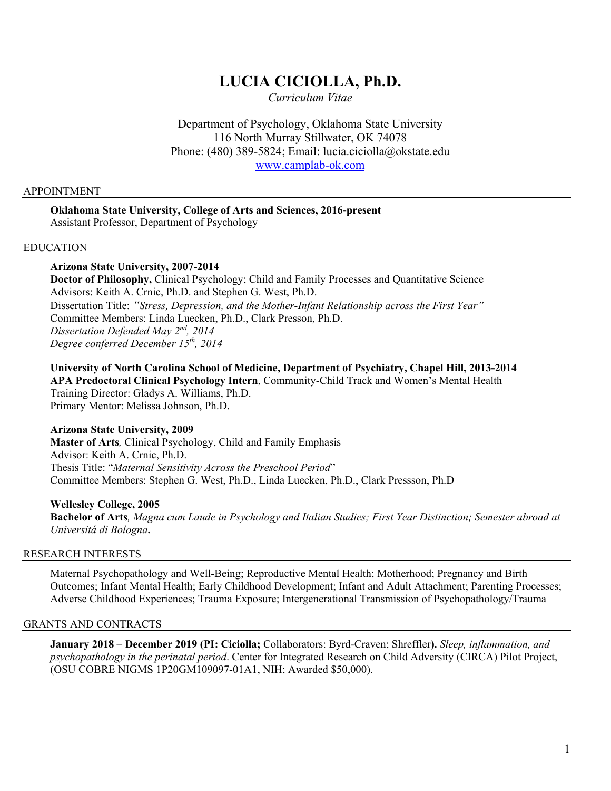# **LUCIA CICIOLLA, Ph.D.**

*Curriculum Vitae*

Department of Psychology, Oklahoma State University 116 North Murray Stillwater, OK 74078 Phone: (480) 389-5824; Email: lucia.ciciolla@okstate.edu [www.camplab-ok.com](http://www.camplab-ok.com/)

#### APPOINTMENT

#### **Oklahoma State University, College of Arts and Sciences, 2016-present** Assistant Professor, Department of Psychology

#### EDUCATION

#### **Arizona State University, 2007-2014**

**Doctor of Philosophy,** Clinical Psychology; Child and Family Processes and Quantitative Science Advisors: Keith A. Crnic, Ph.D. and Stephen G. West, Ph.D. Dissertation Title: *"Stress, Depression, and the Mother-Infant Relationship across the First Year"* Committee Members: Linda Luecken, Ph.D., Clark Presson, Ph.D. *Dissertation Defended May 2nd, 2014 Degree conferred December 15th, 2014*

**University of North Carolina School of Medicine, Department of Psychiatry, Chapel Hill, 2013-2014 APA Predoctoral Clinical Psychology Intern**, Community-Child Track and Women's Mental Health Training Director: Gladys A. Williams, Ph.D. Primary Mentor: Melissa Johnson, Ph.D.

#### **Arizona State University, 2009**

**Master of Arts***,* Clinical Psychology, Child and Family Emphasis Advisor: Keith A. Crnic, Ph.D. Thesis Title: "*Maternal Sensitivity Across the Preschool Period*" Committee Members: Stephen G. West, Ph.D., Linda Luecken, Ph.D., Clark Pressson, Ph.D

#### **Wellesley College, 2005**

**Bachelor of Arts***, Magna cum Laude in Psychology and Italian Studies; First Year Distinction; Semester abroad at Universitá di Bologna***.**

#### RESEARCH INTERESTS

Maternal Psychopathology and Well-Being; Reproductive Mental Health; Motherhood; Pregnancy and Birth Outcomes; Infant Mental Health; Early Childhood Development; Infant and Adult Attachment; Parenting Processes; Adverse Childhood Experiences; Trauma Exposure; Intergenerational Transmission of Psychopathology/Trauma

#### GRANTS AND CONTRACTS

**January 2018 – December 2019 (PI: Ciciolla;** Collaborators: Byrd-Craven; Shreffler**).** *Sleep, inflammation, and psychopathology in the perinatal period*. Center for Integrated Research on Child Adversity (CIRCA) Pilot Project, (OSU COBRE NIGMS 1P20GM109097-01A1, NIH; Awarded \$50,000).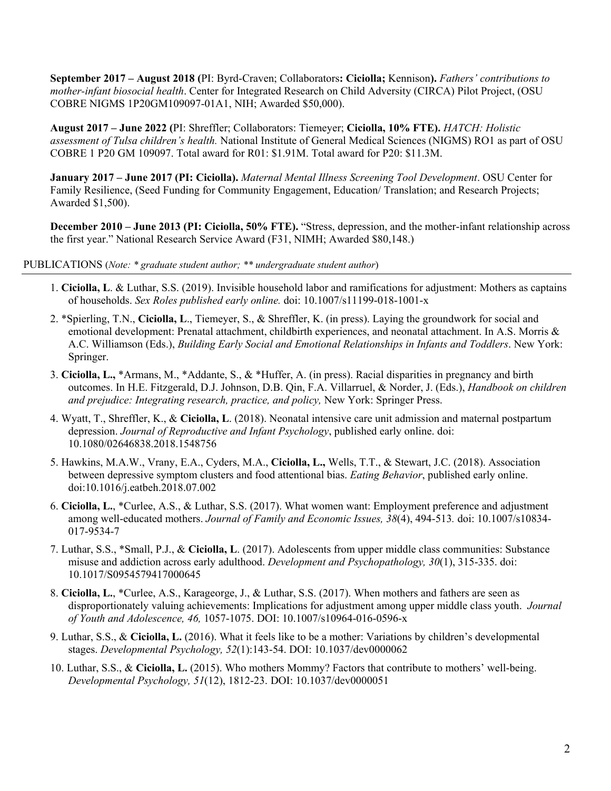**September 2017 – August 2018 (**PI: Byrd-Craven; Collaborators**: Ciciolla;** Kennison**).** *Fathers' contributions to mother-infant biosocial health*. Center for Integrated Research on Child Adversity (CIRCA) Pilot Project, (OSU COBRE NIGMS 1P20GM109097-01A1, NIH; Awarded \$50,000).

**August 2017 – June 2022 (**PI: Shreffler; Collaborators: Tiemeyer; **Ciciolla, 10% FTE).** *HATCH: Holistic assessment of Tulsa children's health.* National Institute of General Medical Sciences (NIGMS) RO1 as part of OSU COBRE 1 P20 GM 109097. Total award for R01: \$1.91M. Total award for P20: \$11.3M.

**January 2017 – June 2017 (PI: Ciciolla).** *Maternal Mental Illness Screening Tool Development*. OSU Center for Family Resilience, (Seed Funding for Community Engagement, Education/ Translation; and Research Projects; Awarded \$1,500).

**December 2010 – June 2013 (PI: Ciciolla, 50% FTE).** "Stress, depression, and the mother-infant relationship across the first year." National Research Service Award (F31, NIMH; Awarded \$80,148.)

#### PUBLICATIONS (*Note: \* graduate student author; \*\* undergraduate student author*)

- 1. **Ciciolla, L**. & Luthar, S.S. (2019). Invisible household labor and ramifications for adjustment: Mothers as captains of households. *Sex Roles published early online.* doi: 10.1007/s11199-018-1001-x
- 2. \*Spierling, T.N., **Ciciolla, L**., Tiemeyer, S., & Shreffler, K. (in press). Laying the groundwork for social and emotional development: Prenatal attachment, childbirth experiences, and neonatal attachment. In A.S. Morris & A.C. Williamson (Eds.), *Building Early Social and Emotional Relationships in Infants and Toddlers*. New York: Springer.
- 3. **Ciciolla, L.,** \*Armans, M., \*Addante, S., & \*Huffer, A. (in press). Racial disparities in pregnancy and birth outcomes. In H.E. Fitzgerald, D.J. Johnson, D.B. Qin, F.A. Villarruel, & Norder, J. (Eds.), *Handbook on children and prejudice: Integrating research, practice, and policy,* New York: Springer Press.
- 4. Wyatt, T., Shreffler, K., & **Ciciolla, L**. (2018). Neonatal intensive care unit admission and maternal postpartum depression. *Journal of Reproductive and Infant Psychology*, published early online. doi: 10.1080/02646838.2018.1548756
- 5. Hawkins, M.A.W., Vrany, E.A., Cyders, M.A., **Ciciolla, L.,** Wells, T.T., & Stewart, J.C. (2018). Association between depressive symptom clusters and food attentional bias. *Eating Behavior*, published early online. doi:10.1016/j.eatbeh.2018.07.002
- 6. **Ciciolla, L.**, \*Curlee, A.S., & Luthar, S.S. (2017). What women want: Employment preference and adjustment among well-educated mothers. *Journal of Family and Economic Issues, 38*(4), 494-513*.* doi: 10.1007/s10834- 017-9534-7
- 7. Luthar, S.S., \*Small, P.J., & **Ciciolla, L**. (2017). Adolescents from upper middle class communities: Substance misuse and addiction across early adulthood. *Development and Psychopathology, 30*(1), 315-335. doi: 10.1017/S0954579417000645
- 8. **Ciciolla, L.**, \*Curlee, A.S., Karageorge, J., & Luthar, S.S. (2017). When mothers and fathers are seen as disproportionately valuing achievements: Implications for adjustment among upper middle class youth. *Journal of Youth and Adolescence, 46,* 1057-1075. DOI: 10.1007/s10964-016-0596-x
- 9. Luthar, S.S., & **Ciciolla, L.** (2016). What it feels like to be a mother: Variations by children's developmental stages. *Developmental Psychology, 52*(1):143-54. DOI: 10.1037/dev0000062
- 10. Luthar, S.S., & **Ciciolla, L.** (2015). Who mothers Mommy? Factors that contribute to mothers' well-being. *Developmental Psychology, 51*(12), 1812-23. DOI: 10.1037/dev0000051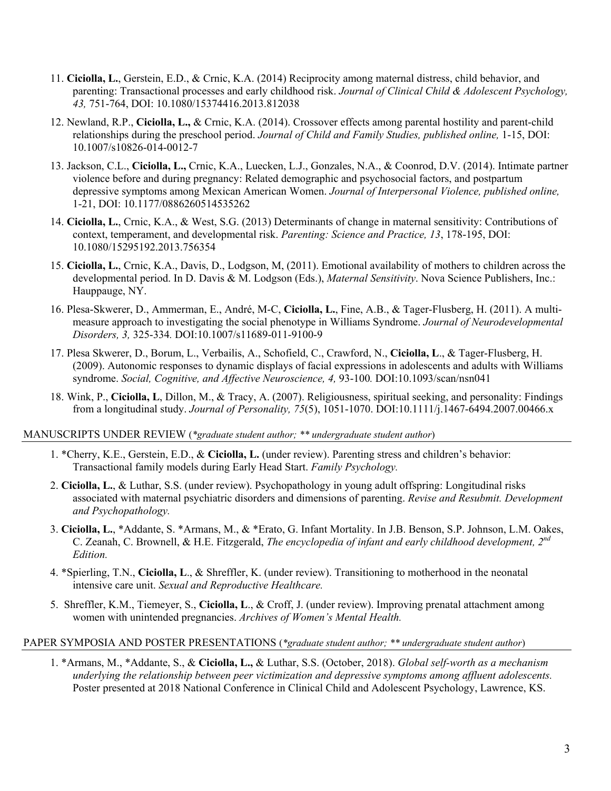- 11. **Ciciolla, L.**, Gerstein, E.D., & Crnic, K.A. (2014) Reciprocity among maternal distress, child behavior, and parenting: Transactional processes and early childhood risk. *Journal of Clinical Child & Adolescent Psychology, 43,* 751-764, DOI: 10.1080/15374416.2013.812038
- 12. Newland, R.P., **Ciciolla, L.,** & Crnic, K.A. (2014). Crossover effects among parental hostility and parent-child relationships during the preschool period. *Journal of Child and Family Studies, published online,* 1-15, DOI: 10.1007/s10826-014-0012-7
- 13. Jackson, C.L., **Ciciolla, L.,** Crnic, K.A., Luecken, L.J., Gonzales, N.A., & Coonrod, D.V. (2014). Intimate partner violence before and during pregnancy: Related demographic and psychosocial factors, and postpartum depressive symptoms among Mexican American Women. *Journal of Interpersonal Violence, published online,* 1-21, DOI: 10.1177/0886260514535262
- 14. **Ciciolla, L.**, Crnic, K.A., & West, S.G. (2013) Determinants of change in maternal sensitivity: Contributions of context, temperament, and developmental risk. *Parenting: Science and Practice, 13*, 178-195, DOI: 10.1080/15295192.2013.756354
- 15. **Ciciolla, L.**, Crnic, K.A., Davis, D., Lodgson, M, (2011). Emotional availability of mothers to children across the developmental period. In D. Davis & M. Lodgson (Eds.), *Maternal Sensitivity*. Nova Science Publishers, Inc.: Hauppauge, NY.
- 16. Plesa-Skwerer, D., Ammerman, E., André, M-C, **Ciciolla, L.**, Fine, A.B., & Tager-Flusberg, H. (2011). A multimeasure approach to investigating the social phenotype in Williams Syndrome. *Journal of Neurodevelopmental Disorders, 3,* 325-334*.* DOI:10.1007/s11689-011-9100-9
- 17. Plesa Skwerer, D., Borum, L., Verbailis, A., Schofield, C., Crawford, N., **Ciciolla, L**., & Tager-Flusberg, H. (2009). Autonomic responses to dynamic displays of facial expressions in adolescents and adults with Williams syndrome. *Social, Cognitive, and Affective Neuroscience, 4,* 93-100*.* DOI:10.1093/scan/nsn041
- 18. Wink, P., **Ciciolla, L**, Dillon, M., & Tracy, A. (2007). Religiousness, spiritual seeking, and personality: Findings from a longitudinal study. *Journal of Personality, 75*(5), 1051-1070. DOI:10.1111/j.1467-6494.2007.00466.x

#### MANUSCRIPTS UNDER REVIEW (*\*graduate student author; \*\* undergraduate student author*)

- 1. \*Cherry, K.E., Gerstein, E.D., & **Ciciolla, L.** (under review). Parenting stress and children's behavior: Transactional family models during Early Head Start. *Family Psychology.*
- 2. **Ciciolla, L.**, & Luthar, S.S. (under review). Psychopathology in young adult offspring: Longitudinal risks associated with maternal psychiatric disorders and dimensions of parenting. *Revise and Resubmit. Development and Psychopathology.*
- 3. **Ciciolla, L.**, \*Addante, S. \*Armans, M., & \*Erato, G. Infant Mortality. In J.B. Benson, S.P. Johnson, L.M. Oakes, C. Zeanah, C. Brownell, & H.E. Fitzgerald, *The encyclopedia of infant and early childhood development, 2nd Edition.*
- 4. \*Spierling, T.N., **Ciciolla, L**., & Shreffler, K. (under review). Transitioning to motherhood in the neonatal intensive care unit. *Sexual and Reproductive Healthcare.*
- 5. Shreffler, K.M., Tiemeyer, S., **Ciciolla, L**., & Croff, J. (under review). Improving prenatal attachment among women with unintended pregnancies. *Archives of Women's Mental Health.*

#### PAPER SYMPOSIA AND POSTER PRESENTATIONS (*\*graduate student author; \*\* undergraduate student author*)

1. \*Armans, M., \*Addante, S., & **Ciciolla, L.,** & Luthar, S.S. (October, 2018). *Global self-worth as a mechanism underlying the relationship between peer victimization and depressive symptoms among affluent adolescents.* Poster presented at 2018 National Conference in Clinical Child and Adolescent Psychology, Lawrence, KS.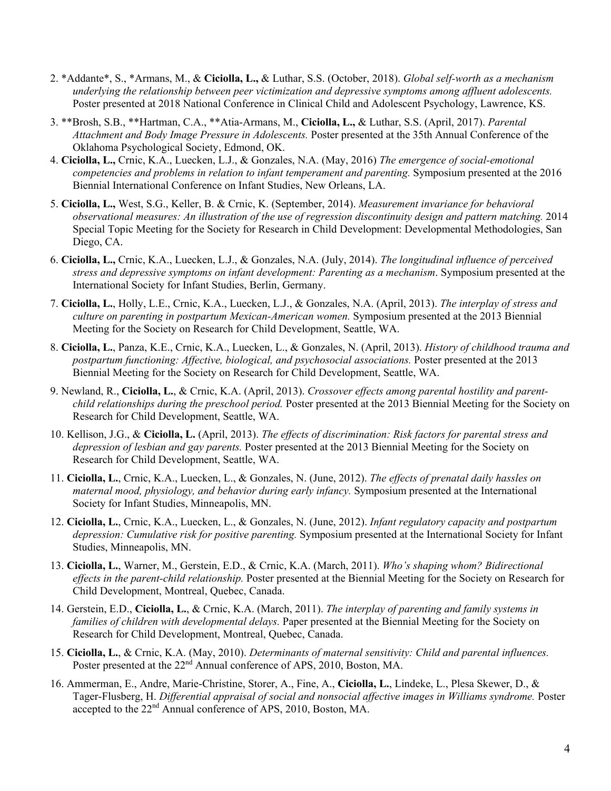- 2. \*Addante\*, S., \*Armans, M., & **Ciciolla, L.,** & Luthar, S.S. (October, 2018). *Global self-worth as a mechanism underlying the relationship between peer victimization and depressive symptoms among affluent adolescents.* Poster presented at 2018 National Conference in Clinical Child and Adolescent Psychology, Lawrence, KS.
- 3. \*\*Brosh, S.B., \*\*Hartman, C.A., \*\*Atia-Armans, M., **Ciciolla, L.,** & Luthar, S.S. (April, 2017). *Parental Attachment and Body Image Pressure in Adolescents.* Poster presented at the 35th Annual Conference of the Oklahoma Psychological Society, Edmond, OK.
- 4. **Ciciolla, L.,** Crnic, K.A., Luecken, L.J., & Gonzales, N.A. (May, 2016) *The emergence of social-emotional competencies and problems in relation to infant temperament and parenting.* Symposium presented at the 2016 Biennial International Conference on Infant Studies, New Orleans, LA.
- 5. **Ciciolla, L.,** West, S.G., Keller, B. & Crnic, K. (September, 2014). *Measurement invariance for behavioral observational measures: An illustration of the use of regression discontinuity design and pattern matching.* 2014 Special Topic Meeting for the Society for Research in Child Development: Developmental Methodologies, San Diego, CA.
- 6. **Ciciolla, L.,** Crnic, K.A., Luecken, L.J., & Gonzales, N.A. (July, 2014). *The longitudinal influence of perceived stress and depressive symptoms on infant development: Parenting as a mechanism*. Symposium presented at the International Society for Infant Studies, Berlin, Germany.
- 7. **Ciciolla, L.**, Holly, L.E., Crnic, K.A., Luecken, L.J., & Gonzales, N.A. (April, 2013). *The interplay of stress and culture on parenting in postpartum Mexican-American women.* Symposium presented at the 2013 Biennial Meeting for the Society on Research for Child Development, Seattle, WA.
- 8. **Ciciolla, L.**, Panza, K.E., Crnic, K.A., Luecken, L., & Gonzales, N. (April, 2013). *History of childhood trauma and postpartum functioning: Affective, biological, and psychosocial associations.* Poster presented at the 2013 Biennial Meeting for the Society on Research for Child Development, Seattle, WA.
- 9. Newland, R., **Ciciolla, L.**, & Crnic, K.A. (April, 2013). *Crossover effects among parental hostility and parentchild relationships during the preschool period.* Poster presented at the 2013 Biennial Meeting for the Society on Research for Child Development, Seattle, WA.
- 10. Kellison, J.G., & **Ciciolla, L.** (April, 2013). *The effects of discrimination: Risk factors for parental stress and depression of lesbian and gay parents.* Poster presented at the 2013 Biennial Meeting for the Society on Research for Child Development, Seattle, WA.
- 11. **Ciciolla, L.**, Crnic, K.A., Luecken, L., & Gonzales, N. (June, 2012). *The effects of prenatal daily hassles on maternal mood, physiology, and behavior during early infancy.* Symposium presented at the International Society for Infant Studies, Minneapolis, MN.
- 12. **Ciciolla, L.**, Crnic, K.A., Luecken, L., & Gonzales, N. (June, 2012). *Infant regulatory capacity and postpartum depression: Cumulative risk for positive parenting.* Symposium presented at the International Society for Infant Studies, Minneapolis, MN.
- 13. **Ciciolla, L.**, Warner, M., Gerstein, E.D., & Crnic, K.A. (March, 2011). *Who's shaping whom? Bidirectional effects in the parent-child relationship.* Poster presented at the Biennial Meeting for the Society on Research for Child Development, Montreal, Quebec, Canada.
- 14. Gerstein, E.D., **Ciciolla, L.**, & Crnic, K.A. (March, 2011). *The interplay of parenting and family systems in families of children with developmental delays.* Paper presented at the Biennial Meeting for the Society on Research for Child Development, Montreal, Quebec, Canada.
- 15. **Ciciolla, L.**, & Crnic, K.A. (May, 2010). *Determinants of maternal sensitivity: Child and parental influences.* Poster presented at the 22<sup>nd</sup> Annual conference of APS, 2010, Boston, MA.
- 16. Ammerman, E., Andre, Marie-Christine, Storer, A., Fine, A., **Ciciolla, L.**, Lindeke, L., Plesa Skewer, D., & Tager-Flusberg, H. *Differential appraisal of social and nonsocial affective images in Williams syndrome.* Poster accepted to the 22<sup>nd</sup> Annual conference of APS, 2010, Boston, MA.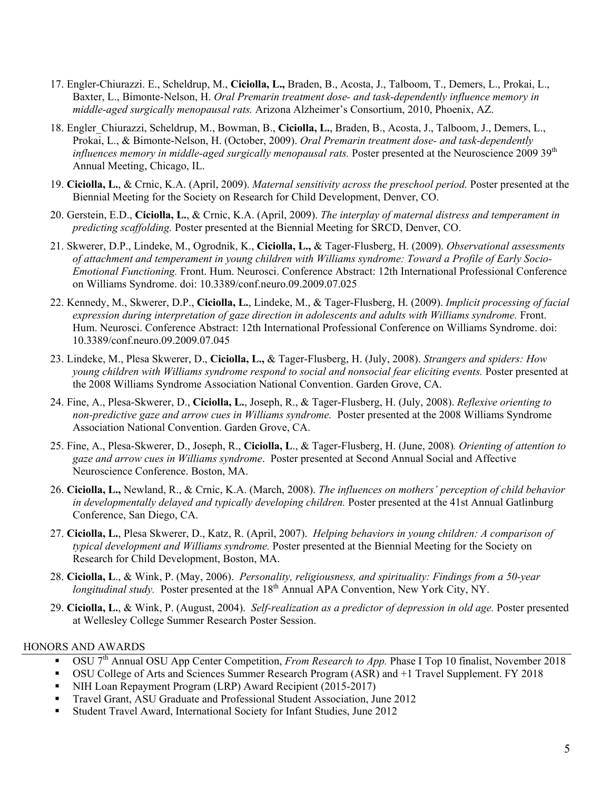- 17. Engler-Chiurazzi. E., Scheldrup, M., **Ciciolla, L.,** Braden, B., Acosta, J., Talboom, T., Demers, L., Prokai, L., Baxter, L., Bimonte-Nelson, H. *Oral Premarin treatment dose- and task-dependently influence memory in middle-aged surgically menopausal rats.* Arizona Alzheimer's Consortium, 2010, Phoenix, AZ.
- 18. Engler\_Chiurazzi, Scheldrup, M., Bowman, B., **Ciciolla, L.**, Braden, B., Acosta, J., Talboom, J., Demers, L., Prokai, L., & Bimonte-Nelson, H. (October, 2009). *Oral Premarin treatment dose- and task-dependently influences memory in middle-aged surgically menopausal rats.* Poster presented at the Neuroscience 2009 39th Annual Meeting, Chicago, IL.
- 19. **Ciciolla, L.**, & Crnic, K.A. (April, 2009). *Maternal sensitivity across the preschool period.* Poster presented at the Biennial Meeting for the Society on Research for Child Development, Denver, CO.
- 20. Gerstein, E.D., **Ciciolla, L.**, & Crnic, K.A. (April, 2009). *The interplay of maternal distress and temperament in predicting scaffolding.* Poster presented at the Biennial Meeting for SRCD, Denver, CO.
- 21. Skwerer, D.P., Lindeke, M., Ogrodnik, K., **Ciciolla, L.,** & Tager-Flusberg, H. (2009). *Observational assessments of attachment and temperament in young children with Williams syndrome: Toward a Profile of Early Socio-Emotional Functioning.* Front. Hum. Neurosci. Conference Abstract: 12th International Professional Conference on Williams Syndrome. doi: 10.3389/conf.neuro.09.2009.07.025
- 22. Kennedy, M., Skwerer, D.P., **Ciciolla, L.**, Lindeke, M., & Tager-Flusberg, H. (2009). *Implicit processing of facial expression during interpretation of gaze direction in adolescents and adults with Williams syndrome.* Front. Hum. Neurosci. Conference Abstract: 12th International Professional Conference on Williams Syndrome. doi: 10.3389/conf.neuro.09.2009.07.045
- 23. Lindeke, M., Plesa Skwerer, D., **Ciciolla, L.,** & Tager-Flusberg, H. (July, 2008). *Strangers and spiders: How young children with Williams syndrome respond to social and nonsocial fear eliciting events.* Poster presented at the 2008 Williams Syndrome Association National Convention. Garden Grove, CA.
- 24. Fine, A., Plesa-Skwerer, D., **Ciciolla, L.**, Joseph, R., & Tager-Flusberg, H. (July, 2008). *Reflexive orienting to non-predictive gaze and arrow cues in Williams syndrome.* Poster presented at the 2008 Williams Syndrome Association National Convention. Garden Grove, CA.
- 25. Fine, A., Plesa-Skwerer, D., Joseph, R., **Ciciolla, L**., & Tager-Flusberg, H. (June, 2008)*. Orienting of attention to gaze and arrow cues in Williams syndrome*. Poster presented at Second Annual Social and Affective Neuroscience Conference. Boston, MA.
- 26. **Ciciolla, L.,** Newland, R., & Crnic, K.A. (March, 2008). *The influences on mothers' perception of child behavior in developmentally delayed and typically developing children.* Poster presented at the 41st Annual Gatlinburg Conference, San Diego, CA.
- 27. **Ciciolla, L.**, Plesa Skwerer, D., Katz, R. (April, 2007). *Helping behaviors in young children: A comparison of typical development and Williams syndrome.* Poster presented at the Biennial Meeting for the Society on Research for Child Development, Boston, MA.
- 28. **Ciciolla, L**., & Wink, P. (May, 2006). *Personality, religiousness, and spirituality: Findings from a 50-year longitudinal study.* Poster presented at the 18<sup>th</sup> Annual APA Convention, New York City, NY.
- 29. **Ciciolla, L.**, & Wink, P. (August, 2004). *Self-realization as a predictor of depression in old age.* Poster presented at Wellesley College Summer Research Poster Session.

#### HONORS AND AWARDS

- OSU 7th Annual OSU App Center Competition, *From Research to App.* Phase I Top 10 finalist, November 2018
- OSU College of Arts and Sciences Summer Research Program (ASR) and +1 Travel Supplement. FY 2018
- NIH Loan Repayment Program (LRP) Award Recipient (2015-2017)
- Travel Grant, ASU Graduate and Professional Student Association, June 2012
- Student Travel Award, International Society for Infant Studies, June 2012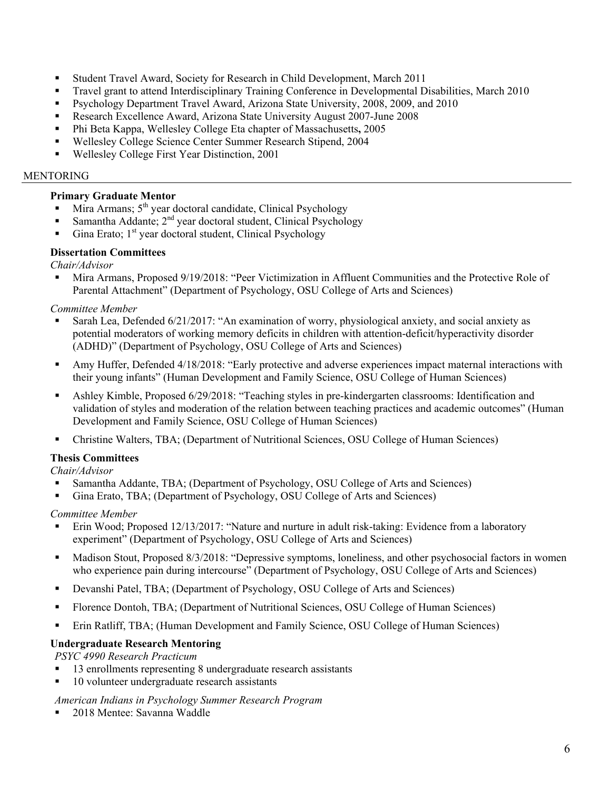- Student Travel Award, Society for Research in Child Development, March 2011
- Travel grant to attend Interdisciplinary Training Conference in Developmental Disabilities, March 2010
- Psychology Department Travel Award, Arizona State University, 2008, 2009, and 2010
- Research Excellence Award, Arizona State University August 2007-June 2008
- Phi Beta Kappa, Wellesley College Eta chapter of Massachusetts**,** 2005
- Wellesley College Science Center Summer Research Stipend, 2004
- Wellesley College First Year Distinction, 2001

#### MENTORING

## **Primary Graduate Mentor**

- Mira Armans; 5<sup>th</sup> year doctoral candidate, Clinical Psychology
- Samantha Addante;  $2<sup>nd</sup>$  year doctoral student, Clinical Psychology
- Gina Erato;  $1<sup>st</sup>$  year doctoral student, Clinical Psychology

# **Dissertation Committees**

*Chair/Advisor*

 Mira Armans, Proposed 9/19/2018: "Peer Victimization in Affluent Communities and the Protective Role of Parental Attachment" (Department of Psychology, OSU College of Arts and Sciences)

# *Committee Member*

- Sarah Lea, Defended 6/21/2017: "An examination of worry, physiological anxiety, and social anxiety as potential moderators of working memory deficits in children with attention-deficit/hyperactivity disorder (ADHD)" (Department of Psychology, OSU College of Arts and Sciences)
- Amy Huffer, Defended 4/18/2018: "Early protective and adverse experiences impact maternal interactions with their young infants" (Human Development and Family Science, OSU College of Human Sciences)
- Ashley Kimble, Proposed 6/29/2018: "Teaching styles in pre-kindergarten classrooms: Identification and validation of styles and moderation of the relation between teaching practices and academic outcomes" (Human Development and Family Science, OSU College of Human Sciences)
- Christine Walters, TBA; (Department of Nutritional Sciences, OSU College of Human Sciences)

# **Thesis Committees**

*Chair/Advisor*

- Samantha Addante, TBA; (Department of Psychology, OSU College of Arts and Sciences)
- Gina Erato, TBA; (Department of Psychology, OSU College of Arts and Sciences)

## *Committee Member*

- Erin Wood; Proposed 12/13/2017: "Nature and nurture in adult risk-taking: Evidence from a laboratory experiment" (Department of Psychology, OSU College of Arts and Sciences)
- Madison Stout, Proposed 8/3/2018: "Depressive symptoms, loneliness, and other psychosocial factors in women who experience pain during intercourse" (Department of Psychology, OSU College of Arts and Sciences)
- Devanshi Patel, TBA; (Department of Psychology, OSU College of Arts and Sciences)
- Florence Dontoh, TBA; (Department of Nutritional Sciences, OSU College of Human Sciences)
- Erin Ratliff, TBA; (Human Development and Family Science, OSU College of Human Sciences)

# **Undergraduate Research Mentoring**

*PSYC 4990 Research Practicum*

- 13 enrollments representing 8 undergraduate research assistants
- 10 volunteer undergraduate research assistants

## *American Indians in Psychology Summer Research Program*

2018 Mentee: Savanna Waddle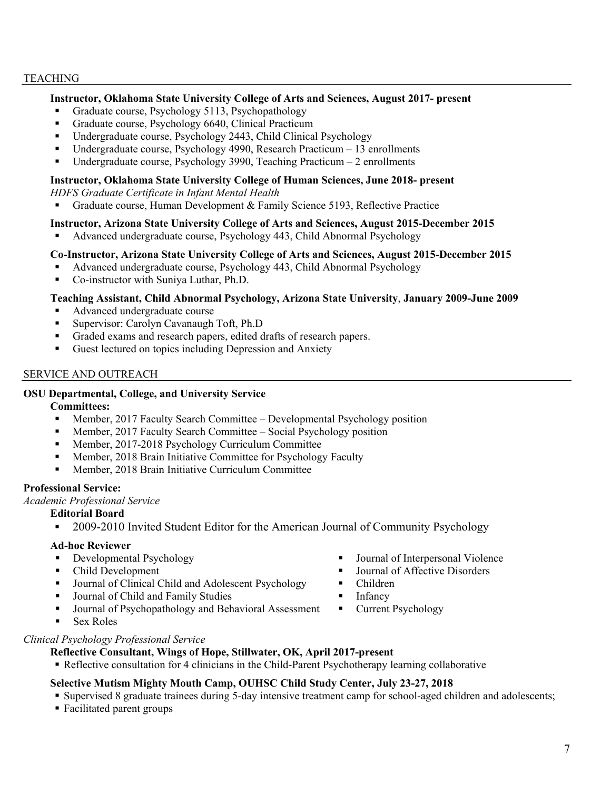#### TEACHING

#### **Instructor, Oklahoma State University College of Arts and Sciences, August 2017- present**

- Graduate course, Psychology 5113, Psychopathology
- Graduate course, Psychology 6640, Clinical Practicum
- Undergraduate course, Psychology 2443, Child Clinical Psychology
- Undergraduate course, Psychology 4990, Research Practicum  $-13$  enrollments
- Undergraduate course, Psychology 3990, Teaching Practicum  $-2$  enrollments

#### **Instructor, Oklahoma State University College of Human Sciences, June 2018- present**

*HDFS Graduate Certificate in Infant Mental Health*

Graduate course, Human Development & Family Science 5193, Reflective Practice

#### **Instructor, Arizona State University College of Arts and Sciences, August 2015-December 2015**

Advanced undergraduate course, Psychology 443, Child Abnormal Psychology

#### **Co-Instructor, Arizona State University College of Arts and Sciences, August 2015-December 2015**

- Advanced undergraduate course, Psychology 443, Child Abnormal Psychology
- Co-instructor with Suniya Luthar, Ph.D.

#### **Teaching Assistant, Child Abnormal Psychology, Arizona State University**, **January 2009-June 2009**

- Advanced undergraduate course
- **Supervisor: Carolyn Cavanaugh Toft, Ph.D**
- Graded exams and research papers, edited drafts of research papers.
- Guest lectured on topics including Depression and Anxiety

#### SERVICE AND OUTREACH

## **OSU Departmental, College, and University Service**

#### **Committees:**

- Member, 2017 Faculty Search Committee Developmental Psychology position
- Member, 2017 Faculty Search Committee Social Psychology position
- Member, 2017-2018 Psychology Curriculum Committee
- Member, 2018 Brain Initiative Committee for Psychology Faculty
- Member, 2018 Brain Initiative Curriculum Committee

#### **Professional Service:**

*Academic Professional Service*

#### **Editorial Board**

2009-2010 Invited Student Editor for the American Journal of Community Psychology

#### **Ad-hoc Reviewer**

- **Developmental Psychology**
- Child Development
- Journal of Clinical Child and Adolescent Psychology
- Journal of Child and Family Studies
- Journal of Psychopathology and Behavioral Assessment
- Sex Roles

## *Clinical Psychology Professional Service*

#### **Reflective Consultant, Wings of Hope, Stillwater, OK, April 2017-present**

Reflective consultation for 4 clinicians in the Child-Parent Psychotherapy learning collaborative

## **Selective Mutism Mighty Mouth Camp, OUHSC Child Study Center, July 23-27, 2018**

- Supervised 8 graduate trainees during 5-day intensive treatment camp for school-aged children and adolescents;
- Facilitated parent groups
- Journal of Interpersonal Violence
- Journal of Affective Disorders
- Children
- **I**nfancy
- Current Psychology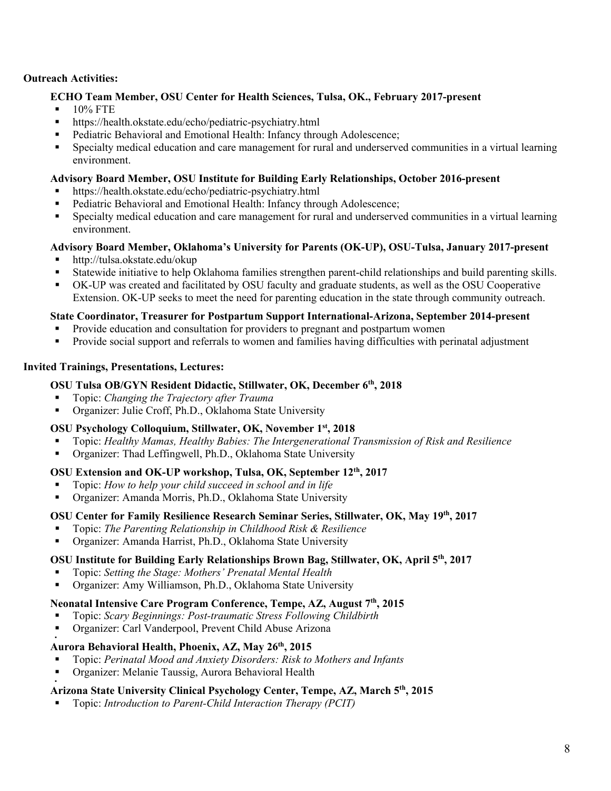### **Outreach Activities:**

#### **ECHO Team Member, OSU Center for Health Sciences, Tulsa, OK., February 2017-present**

- $10\%$  FTE
- https://health.okstate.edu/echo/pediatric-psychiatry.html
- **Pediatric Behavioral and Emotional Health: Infancy through Adolescence;**
- Specialty medical education and care management for rural and underserved communities in a virtual learning environment.

#### **Advisory Board Member, OSU Institute for Building Early Relationships, October 2016-present**

- https://health.okstate.edu/echo/pediatric-psychiatry.html
- Pediatric Behavioral and Emotional Health: Infancy through Adolescence;
- Specialty medical education and care management for rural and underserved communities in a virtual learning environment.

#### **Advisory Board Member, Oklahoma's University for Parents (OK-UP), OSU-Tulsa, January 2017-present**

- http://tulsa.okstate.edu/okup
- Statewide initiative to help Oklahoma families strengthen parent-child relationships and build parenting skills.
- OK-UP was created and facilitated by OSU faculty and graduate students, as well as the OSU Cooperative Extension. OK-UP seeks to meet the need for parenting education in the state through community outreach.

#### **State Coordinator, Treasurer for Postpartum Support International-Arizona, September 2014-present**

- Provide education and consultation for providers to pregnant and postpartum women
- Provide social support and referrals to women and families having difficulties with perinatal adjustment

#### **Invited Trainings, Presentations, Lectures:**

# **OSU Tulsa OB/GYN Resident Didactic, Stillwater, OK, December 6th, 2018**

- Topic: *Changing the Trajectory after Trauma*
- Organizer: Julie Croff, Ph.D., Oklahoma State University

## **OSU Psychology Colloquium, Stillwater, OK, November 1st, 2018**

- Topic: *Healthy Mamas, Healthy Babies: The Intergenerational Transmission of Risk and Resilience*
- Organizer: Thad Leffingwell, Ph.D., Oklahoma State University

#### **OSU Extension and OK-UP workshop, Tulsa, OK, September 12th, 2017**

- Topic: *How to help your child succeed in school and in life*
- Organizer: Amanda Morris, Ph.D., Oklahoma State University

#### **OSU Center for Family Resilience Research Seminar Series, Stillwater, OK, May 19th, 2017**

- Topic: *The Parenting Relationship in Childhood Risk & Resilience*
- Organizer: Amanda Harrist, Ph.D., Oklahoma State University

#### **OSU Institute for Building Early Relationships Brown Bag, Stillwater, OK, April 5th, 2017**

- Topic: *Setting the Stage: Mothers' Prenatal Mental Health*
- Organizer: Amy Williamson, Ph.D., Oklahoma State University

#### **Neonatal Intensive Care Program Conference, Tempe, AZ, August 7th, 2015**

- Topic: *Scary Beginnings: Post-traumatic Stress Following Childbirth*
- Organizer: Carl Vanderpool, Prevent Child Abuse Arizona

#### . **Aurora Behavioral Health, Phoenix, AZ, May 26th, 2015**

- Topic: *Perinatal Mood and Anxiety Disorders: Risk to Mothers and Infants*
- Organizer: Melanie Taussig, Aurora Behavioral Health

.

#### **Arizona State University Clinical Psychology Center, Tempe, AZ, March 5th, 2015**

Topic: *Introduction to Parent-Child Interaction Therapy (PCIT)*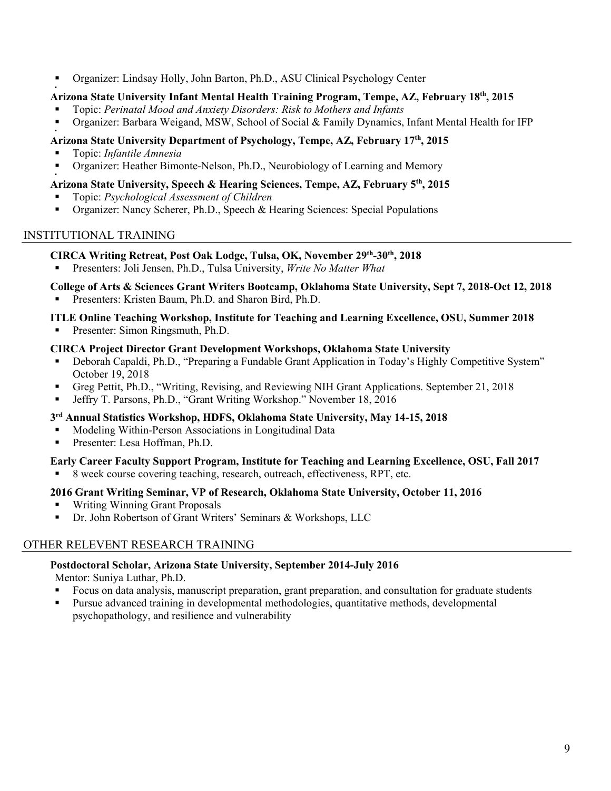Organizer: Lindsay Holly, John Barton, Ph.D., ASU Clinical Psychology Center

#### . **Arizona State University Infant Mental Health Training Program, Tempe, AZ, February 18th, 2015**

- Topic: *Perinatal Mood and Anxiety Disorders: Risk to Mothers and Infants*
- Organizer: Barbara Weigand, MSW, School of Social & Family Dynamics, Infant Mental Health for IFP

#### . **Arizona State University Department of Psychology, Tempe, AZ, February 17th, 2015**

- Topic: *Infantile Amnesia*
- Organizer: Heather Bimonte-Nelson, Ph.D., Neurobiology of Learning and Memory

## **Arizona State University, Speech & Hearing Sciences, Tempe, AZ, February 5th, 2015**

- Topic: *Psychological Assessment of Children*
- Organizer: Nancy Scherer, Ph.D., Speech & Hearing Sciences: Special Populations

## INSTITUTIONAL TRAINING

.

#### **CIRCA Writing Retreat, Post Oak Lodge, Tulsa, OK, November 29th-30th, 2018**

Presenters: Joli Jensen, Ph.D., Tulsa University, *Write No Matter What*

# **College of Arts & Sciences Grant Writers Bootcamp, Oklahoma State University, Sept 7, 2018-Oct 12, 2018**

Presenters: Kristen Baum, Ph.D. and Sharon Bird, Ph.D.

# **ITLE Online Teaching Workshop, Institute for Teaching and Learning Excellence, OSU, Summer 2018**

**Presenter: Simon Ringsmuth, Ph.D.** 

#### **CIRCA Project Director Grant Development Workshops, Oklahoma State University**

- Deborah Capaldi, Ph.D., "Preparing a Fundable Grant Application in Today's Highly Competitive System" October 19, 2018
- Greg Pettit, Ph.D., "Writing, Revising, and Reviewing NIH Grant Applications. September 21, 2018
- Jeffry T. Parsons, Ph.D., "Grant Writing Workshop." November 18, 2016

## **3rd Annual Statistics Workshop, HDFS, Oklahoma State University, May 14-15, 2018**

- Modeling Within-Person Associations in Longitudinal Data
- Presenter: Lesa Hoffman, Ph.D.

# **Early Career Faculty Support Program, Institute for Teaching and Learning Excellence, OSU, Fall 2017**

8 week course covering teaching, research, outreach, effectiveness, RPT, etc.

## **2016 Grant Writing Seminar, VP of Research, Oklahoma State University, October 11, 2016**

- Writing Winning Grant Proposals
- **Dr. John Robertson of Grant Writers' Seminars & Workshops, LLC**

# OTHER RELEVENT RESEARCH TRAINING

## **Postdoctoral Scholar, Arizona State University, September 2014-July 2016**

Mentor: Suniya Luthar, Ph.D.

- Focus on data analysis, manuscript preparation, grant preparation, and consultation for graduate students
- Pursue advanced training in developmental methodologies, quantitative methods, developmental psychopathology, and resilience and vulnerability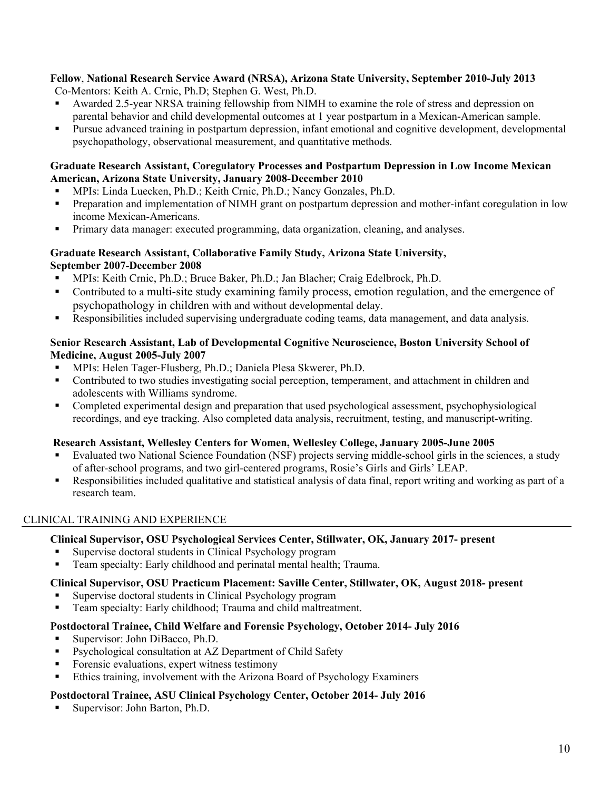# **Fellow**, **National Research Service Award (NRSA), Arizona State University, September 2010-July 2013**

Co-Mentors: Keith A. Crnic, Ph.D; Stephen G. West, Ph.D.

- Awarded 2.5-year NRSA training fellowship from NIMH to examine the role of stress and depression on parental behavior and child developmental outcomes at 1 year postpartum in a Mexican-American sample.
- **Pursue advanced training in postpartum depression, infant emotional and cognitive development, developmental** psychopathology, observational measurement, and quantitative methods.

#### **Graduate Research Assistant, Coregulatory Processes and Postpartum Depression in Low Income Mexican American, Arizona State University, January 2008-December 2010**

- MPIs: Linda Luecken, Ph.D.; Keith Crnic, Ph.D.; Nancy Gonzales, Ph.D.
- **Preparation and implementation of NIMH grant on postpartum depression and mother-infant coregulation in low** income Mexican-Americans.
- Primary data manager: executed programming, data organization, cleaning, and analyses.

## **Graduate Research Assistant, Collaborative Family Study, Arizona State University, September 2007-December 2008**

- MPIs: Keith Crnic, Ph.D.; Bruce Baker, Ph.D.; Jan Blacher; Craig Edelbrock, Ph.D.
- Contributed to a multi-site study examining family process, emotion regulation, and the emergence of psychopathology in children with and without developmental delay.
- Responsibilities included supervising undergraduate coding teams, data management, and data analysis.

#### **Senior Research Assistant, Lab of Developmental Cognitive Neuroscience, Boston University School of Medicine, August 2005-July 2007**

- MPIs: Helen Tager-Flusberg, Ph.D.; Daniela Plesa Skwerer, Ph.D.
- Contributed to two studies investigating social perception, temperament, and attachment in children and adolescents with Williams syndrome.
- Completed experimental design and preparation that used psychological assessment, psychophysiological recordings, and eye tracking. Also completed data analysis, recruitment, testing, and manuscript-writing.

## **Research Assistant, Wellesley Centers for Women, Wellesley College, January 2005-June 2005**

- Evaluated two National Science Foundation (NSF) projects serving middle-school girls in the sciences, a study of after-school programs, and two girl-centered programs, Rosie's Girls and Girls' LEAP.
- Responsibilities included qualitative and statistical analysis of data final, report writing and working as part of a research team.

# CLINICAL TRAINING AND EXPERIENCE

## **Clinical Supervisor, OSU Psychological Services Center, Stillwater, OK, January 2017- present**

- Supervise doctoral students in Clinical Psychology program
- Team specialty: Early childhood and perinatal mental health; Trauma.

## **Clinical Supervisor, OSU Practicum Placement: Saville Center, Stillwater, OK, August 2018- present**

- Supervise doctoral students in Clinical Psychology program
- Team specialty: Early childhood; Trauma and child maltreatment.

## **Postdoctoral Trainee, Child Welfare and Forensic Psychology, October 2014- July 2016**

- Supervisor: John DiBacco, Ph.D.
- **Psychological consultation at AZ Department of Child Safety**
- Forensic evaluations, expert witness testimony
- Ethics training, involvement with the Arizona Board of Psychology Examiners

## **Postdoctoral Trainee, ASU Clinical Psychology Center, October 2014- July 2016**

Supervisor: John Barton, Ph.D.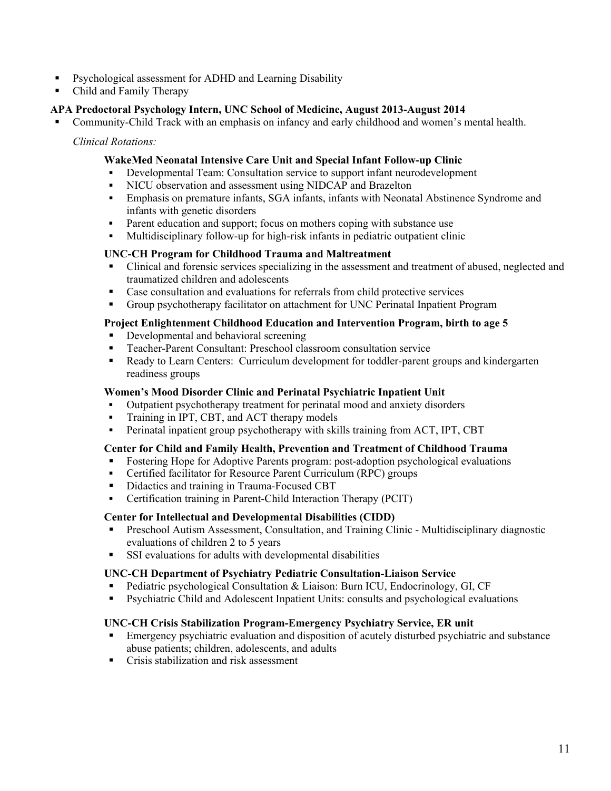- **Psychological assessment for ADHD and Learning Disability**
- Child and Family Therapy

#### **APA Predoctoral Psychology Intern, UNC School of Medicine, August 2013-August 2014**

Community-Child Track with an emphasis on infancy and early childhood and women's mental health.

*Clinical Rotations:*

#### **WakeMed Neonatal Intensive Care Unit and Special Infant Follow-up Clinic**

- Developmental Team: Consultation service to support infant neurodevelopment
- NICU observation and assessment using NIDCAP and Brazelton
- Emphasis on premature infants, SGA infants, infants with Neonatal Abstinence Syndrome and infants with genetic disorders
- **Parent education and support; focus on mothers coping with substance use**
- Multidisciplinary follow-up for high-risk infants in pediatric outpatient clinic

#### **UNC-CH Program for Childhood Trauma and Maltreatment**

- Clinical and forensic services specializing in the assessment and treatment of abused, neglected and traumatized children and adolescents
- Case consultation and evaluations for referrals from child protective services
- Group psychotherapy facilitator on attachment for UNC Perinatal Inpatient Program

#### **Project Enlightenment Childhood Education and Intervention Program, birth to age 5**

- Developmental and behavioral screening
- Teacher-Parent Consultant: Preschool classroom consultation service
- Ready to Learn Centers: Curriculum development for toddler-parent groups and kindergarten readiness groups

#### **Women's Mood Disorder Clinic and Perinatal Psychiatric Inpatient Unit**

- Outpatient psychotherapy treatment for perinatal mood and anxiety disorders
- Training in IPT, CBT, and ACT therapy models
- Perinatal inpatient group psychotherapy with skills training from ACT, IPT, CBT

#### **Center for Child and Family Health, Prevention and Treatment of Childhood Trauma**

- Fostering Hope for Adoptive Parents program: post-adoption psychological evaluations
- Certified facilitator for Resource Parent Curriculum (RPC) groups
- Didactics and training in Trauma-Focused CBT
- Certification training in Parent-Child Interaction Therapy (PCIT)

#### **Center for Intellectual and Developmental Disabilities (CIDD)**

- **Preschool Autism Assessment, Consultation, and Training Clinic Multidisciplinary diagnostic** evaluations of children 2 to 5 years
- SSI evaluations for adults with developmental disabilities

#### **UNC-CH Department of Psychiatry Pediatric Consultation-Liaison Service**

- **Pediatric psychological Consultation & Liaison: Burn ICU, Endocrinology, GI, CF**
- Psychiatric Child and Adolescent Inpatient Units: consults and psychological evaluations

#### **UNC-CH Crisis Stabilization Program-Emergency Psychiatry Service, ER unit**

- **Emergency psychiatric evaluation and disposition of acutely disturbed psychiatric and substance** abuse patients; children, adolescents, and adults
- Crisis stabilization and risk assessment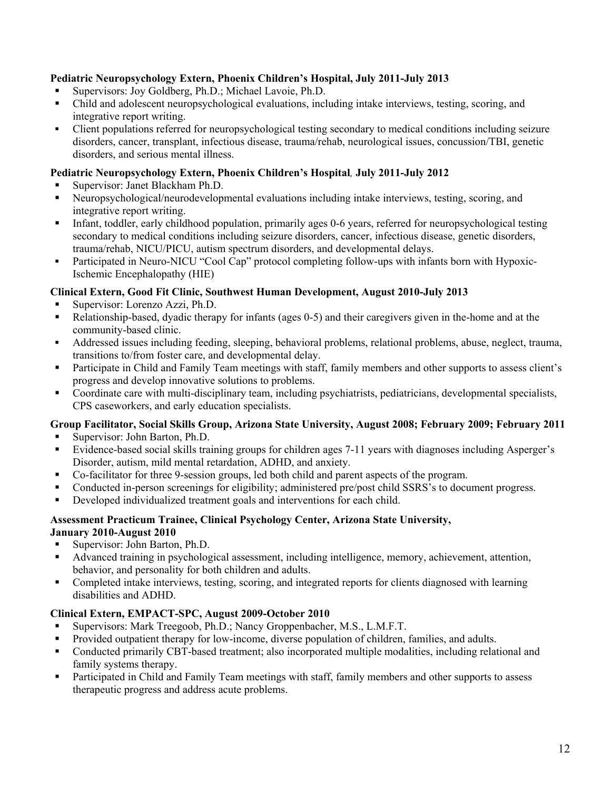# **Pediatric Neuropsychology Extern, Phoenix Children's Hospital, July 2011-July 2013**

- Supervisors: Joy Goldberg, Ph.D.; Michael Lavoie, Ph.D.
- Child and adolescent neuropsychological evaluations, including intake interviews, testing, scoring, and integrative report writing.
- Client populations referred for neuropsychological testing secondary to medical conditions including seizure disorders, cancer, transplant, infectious disease, trauma/rehab, neurological issues, concussion/TBI, genetic disorders, and serious mental illness.

# **Pediatric Neuropsychology Extern, Phoenix Children's Hospital***,* **July 2011-July 2012**

- Supervisor: Janet Blackham Ph.D.
- Neuropsychological/neurodevelopmental evaluations including intake interviews, testing, scoring, and integrative report writing.
- Infant, toddler, early childhood population, primarily ages 0-6 years, referred for neuropsychological testing secondary to medical conditions including seizure disorders, cancer, infectious disease, genetic disorders, trauma/rehab, NICU/PICU, autism spectrum disorders, and developmental delays.
- Participated in Neuro-NICU "Cool Cap" protocol completing follow-ups with infants born with Hypoxic-Ischemic Encephalopathy (HIE)

# **Clinical Extern, Good Fit Clinic, Southwest Human Development, August 2010-July 2013**

- Supervisor: Lorenzo Azzi, Ph.D.
- Relationship-based, dyadic therapy for infants (ages 0-5) and their caregivers given in the-home and at the community-based clinic.
- Addressed issues including feeding, sleeping, behavioral problems, relational problems, abuse, neglect, trauma, transitions to/from foster care, and developmental delay.
- **Participate in Child and Family Team meetings with staff, family members and other supports to assess client's** progress and develop innovative solutions to problems.
- Coordinate care with multi-disciplinary team, including psychiatrists, pediatricians, developmental specialists, CPS caseworkers, and early education specialists.

# **Group Facilitator, Social Skills Group, Arizona State University, August 2008; February 2009; February 2011**

- Supervisor: John Barton, Ph.D.
- Evidence-based social skills training groups for children ages 7-11 years with diagnoses including Asperger's Disorder, autism, mild mental retardation, ADHD, and anxiety.
- Co-facilitator for three 9-session groups, led both child and parent aspects of the program.
- Conducted in-person screenings for eligibility; administered pre/post child SSRS's to document progress.
- Developed individualized treatment goals and interventions for each child.

#### **Assessment Practicum Trainee, Clinical Psychology Center, Arizona State University, January 2010-August 2010**

- Supervisor: John Barton, Ph.D.
- Advanced training in psychological assessment, including intelligence, memory, achievement, attention, behavior, and personality for both children and adults.
- Completed intake interviews, testing, scoring, and integrated reports for clients diagnosed with learning disabilities and ADHD.

# **Clinical Extern, EMPACT-SPC, August 2009-October 2010**

- Supervisors: Mark Treegoob, Ph.D.; Nancy Groppenbacher, M.S., L.M.F.T.
- Provided outpatient therapy for low-income, diverse population of children, families, and adults.
- Conducted primarily CBT-based treatment; also incorporated multiple modalities, including relational and family systems therapy.
- Participated in Child and Family Team meetings with staff, family members and other supports to assess therapeutic progress and address acute problems.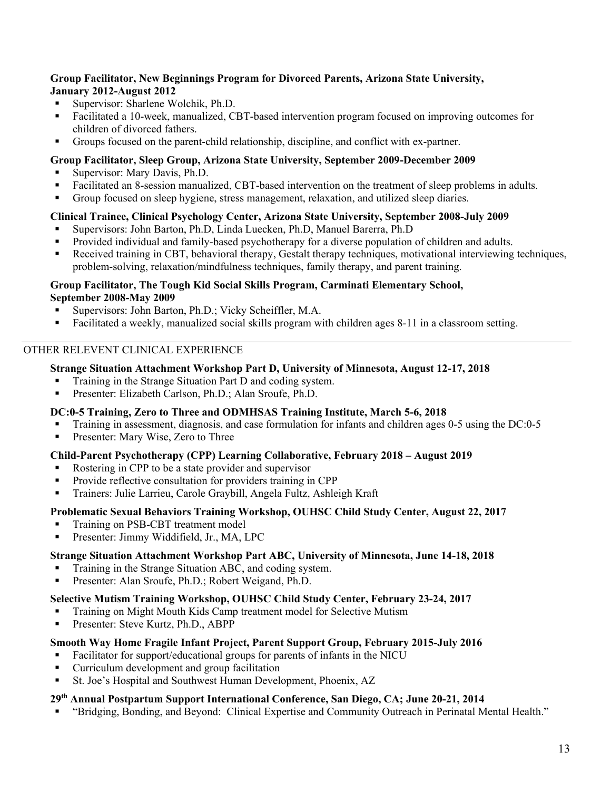#### **Group Facilitator, New Beginnings Program for Divorced Parents, Arizona State University, January 2012-August 2012**

- Supervisor: Sharlene Wolchik, Ph.D.
- Facilitated a 10-week, manualized, CBT-based intervention program focused on improving outcomes for children of divorced fathers.
- Groups focused on the parent-child relationship, discipline, and conflict with ex-partner.

## **Group Facilitator, Sleep Group, Arizona State University, September 2009-December 2009**

- Supervisor: Mary Davis, Ph.D.
- Facilitated an 8-session manualized, CBT-based intervention on the treatment of sleep problems in adults.
- Group focused on sleep hygiene, stress management, relaxation, and utilized sleep diaries.

# **Clinical Trainee, Clinical Psychology Center, Arizona State University, September 2008-July 2009**

- Supervisors: John Barton, Ph.D, Linda Luecken, Ph.D, Manuel Barerra, Ph.D
- **Provided individual and family-based psychotherapy for a diverse population of children and adults.**
- Received training in CBT, behavioral therapy, Gestalt therapy techniques, motivational interviewing techniques, problem-solving, relaxation/mindfulness techniques, family therapy, and parent training.

#### **Group Facilitator, The Tough Kid Social Skills Program, Carminati Elementary School, September 2008-May 2009**

- Supervisors: John Barton, Ph.D.; Vicky Scheiffler, M.A.
- Facilitated a weekly, manualized social skills program with children ages 8-11 in a classroom setting.

# OTHER RELEVENT CLINICAL EXPERIENCE

# **Strange Situation Attachment Workshop Part D, University of Minnesota, August 12-17, 2018**

- Training in the Strange Situation Part D and coding system.
- **Presenter: Elizabeth Carlson, Ph.D.; Alan Sroufe, Ph.D.**

# **DC:0-5 Training, Zero to Three and ODMHSAS Training Institute, March 5-6, 2018**

- Training in assessment, diagnosis, and case formulation for infants and children ages 0-5 using the DC:0-5
- Presenter: Mary Wise, Zero to Three

## **Child-Parent Psychotherapy (CPP) Learning Collaborative, February 2018 – August 2019**

- Rostering in CPP to be a state provider and supervisor
- Provide reflective consultation for providers training in CPP
- Trainers: Julie Larrieu, Carole Graybill, Angela Fultz, Ashleigh Kraft

# **Problematic Sexual Behaviors Training Workshop, OUHSC Child Study Center, August 22, 2017**

- Training on PSB-CBT treatment model
- Presenter: Jimmy Widdifield, Jr., MA, LPC

# **Strange Situation Attachment Workshop Part ABC, University of Minnesota, June 14-18, 2018**

- Training in the Strange Situation ABC, and coding system.
- Presenter: Alan Sroufe, Ph.D.; Robert Weigand, Ph.D.

# **Selective Mutism Training Workshop, OUHSC Child Study Center, February 23-24, 2017**

- Training on Might Mouth Kids Camp treatment model for Selective Mutism
- Presenter: Steve Kurtz, Ph.D., ABPP

# **Smooth Way Home Fragile Infant Project, Parent Support Group, February 2015-July 2016**

- Facilitator for support/educational groups for parents of infants in the NICU
- Curriculum development and group facilitation
- St. Joe's Hospital and Southwest Human Development, Phoenix, AZ

# **29th Annual Postpartum Support International Conference, San Diego, CA; June 20-21, 2014**

"Bridging, Bonding, and Beyond: Clinical Expertise and Community Outreach in Perinatal Mental Health."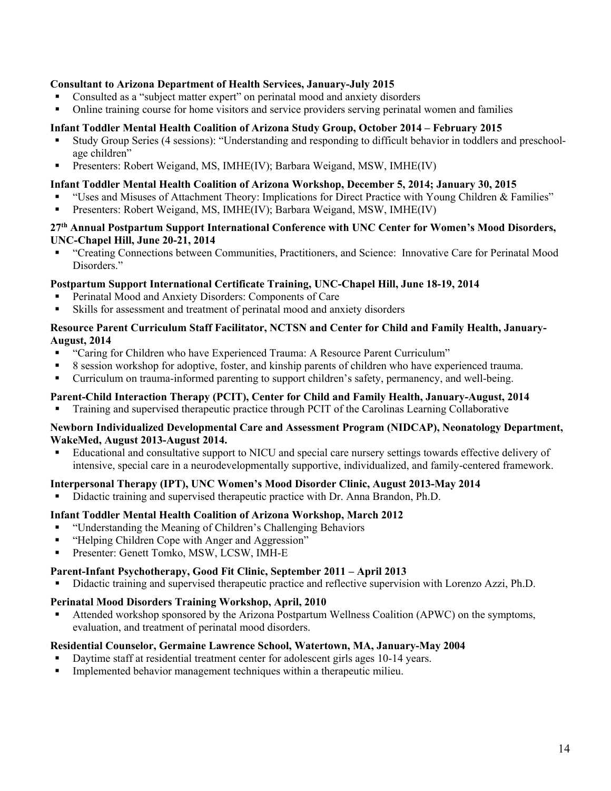### **Consultant to Arizona Department of Health Services, January-July 2015**

- Consulted as a "subject matter expert" on perinatal mood and anxiety disorders
- Online training course for home visitors and service providers serving perinatal women and families

#### **Infant Toddler Mental Health Coalition of Arizona Study Group, October 2014 – February 2015**

- Study Group Series (4 sessions): "Understanding and responding to difficult behavior in toddlers and preschoolage children"
- Presenters: Robert Weigand, MS, IMHE(IV); Barbara Weigand, MSW, IMHE(IV)

#### **Infant Toddler Mental Health Coalition of Arizona Workshop, December 5, 2014; January 30, 2015**

- "Uses and Misuses of Attachment Theory: Implications for Direct Practice with Young Children & Families"
- Presenters: Robert Weigand, MS, IMHE(IV); Barbara Weigand, MSW, IMHE(IV)

#### **27th Annual Postpartum Support International Conference with UNC Center for Women's Mood Disorders, UNC-Chapel Hill, June 20-21, 2014**

 "Creating Connections between Communities, Practitioners, and Science: Innovative Care for Perinatal Mood Disorders."

#### **Postpartum Support International Certificate Training, UNC-Chapel Hill, June 18-19, 2014**

- Perinatal Mood and Anxiety Disorders: Components of Care
- Skills for assessment and treatment of perinatal mood and anxiety disorders

#### **Resource Parent Curriculum Staff Facilitator, NCTSN and Center for Child and Family Health, January-August, 2014**

- "Caring for Children who have Experienced Trauma: A Resource Parent Curriculum"
- 8 session workshop for adoptive, foster, and kinship parents of children who have experienced trauma.
- Curriculum on trauma-informed parenting to support children's safety, permanency, and well-being.

# **Parent-Child Interaction Therapy (PCIT), Center for Child and Family Health, January-August, 2014**

Training and supervised therapeutic practice through PCIT of the Carolinas Learning Collaborative

#### **Newborn Individualized Developmental Care and Assessment Program (NIDCAP), Neonatology Department, WakeMed, August 2013-August 2014.**

 Educational and consultative support to NICU and special care nursery settings towards effective delivery of intensive, special care in a neurodevelopmentally supportive, individualized, and family-centered framework.

## **Interpersonal Therapy (IPT), UNC Women's Mood Disorder Clinic, August 2013-May 2014**

Didactic training and supervised therapeutic practice with Dr. Anna Brandon, Ph.D.

## **Infant Toddler Mental Health Coalition of Arizona Workshop, March 2012**

- "Understanding the Meaning of Children's Challenging Behaviors
- "Helping Children Cope with Anger and Aggression"
- Presenter: Genett Tomko, MSW, LCSW, IMH-E

## **Parent-Infant Psychotherapy, Good Fit Clinic, September 2011 – April 2013**

Didactic training and supervised therapeutic practice and reflective supervision with Lorenzo Azzi, Ph.D.

## **Perinatal Mood Disorders Training Workshop, April, 2010**

 Attended workshop sponsored by the Arizona Postpartum Wellness Coalition (APWC) on the symptoms, evaluation, and treatment of perinatal mood disorders.

#### **Residential Counselor, Germaine Lawrence School, Watertown, MA, January-May 2004**

- Daytime staff at residential treatment center for adolescent girls ages 10-14 years.
- Implemented behavior management techniques within a therapeutic milieu.